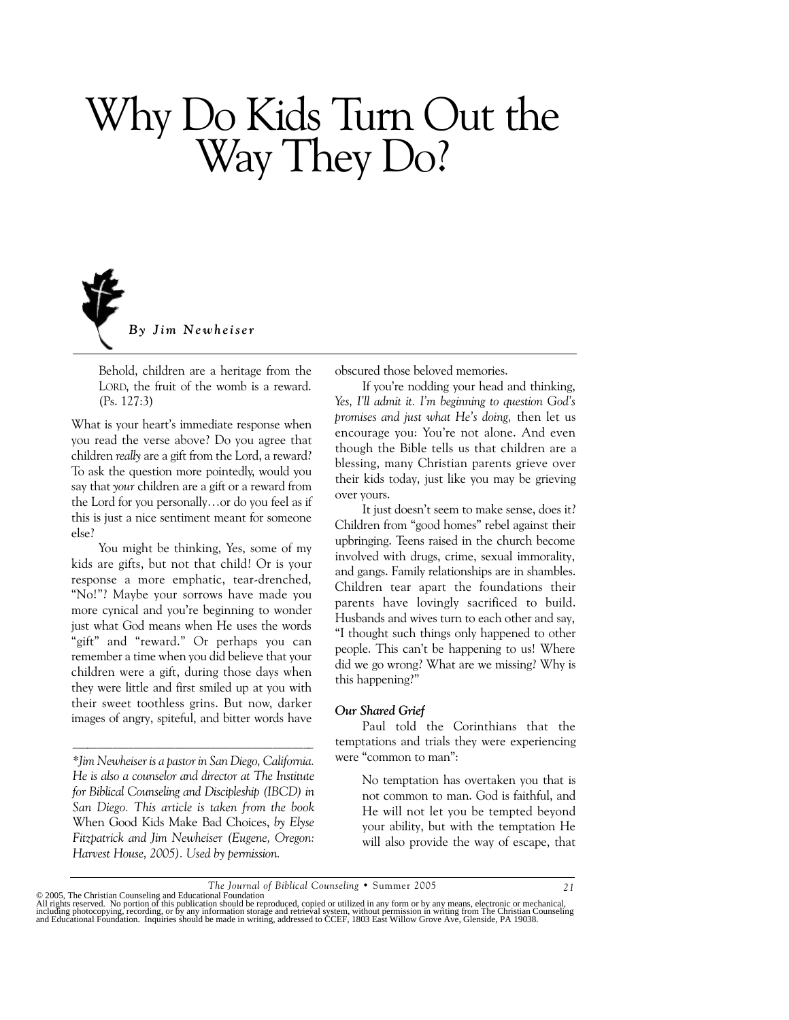# Why Do Kids Turn Out the Way They Do?



Behold, children are a heritage from the LORD, the fruit of the womb is a reward. (Ps. 127:3)

What is your heart's immediate response when you read the verse above? Do you agree that children *really* are a gift from the Lord, a reward? To ask the question more pointedly, would you say that *your* children are a gift or a reward from the Lord for you personally…or do you feel as if this is just a nice sentiment meant for someone else?

You might be thinking, Yes, some of my kids are gifts, but not that child! Or is your response a more emphatic, tear-drenched, "No!"? Maybe your sorrows have made you more cynical and you're beginning to wonder just what God means when He uses the words "gift" and "reward." Or perhaps you can remember a time when you did believe that your children were a gift, during those days when they were little and first smiled up at you with their sweet toothless grins. But now, darker images of angry, spiteful, and bitter words have

*\*Jim Newheiser is a pastor in San Diego, California. He is also a counselor and director at The Institute for Biblical Counseling and Discipleship (IBCD) in San Diego. This article is taken from the book* When Good Kids Make Bad Choices, *by Elyse Fitzpatrick and Jim Newheiser (Eugene, Oregon: Harvest House, 2005). Used by permission.*

 $\mathcal{L}_\text{max}$  and the contract of the contract of the contract of the contract of the contract of the contract of the contract of the contract of the contract of the contract of the contract of the contract of the contrac

obscured those beloved memories.

If you're nodding your head and thinking, *Yes, I'll admit it. I'm beginning to question God's promises and just what He's doing,* then let us encourage you: You're not alone. And even though the Bible tells us that children are a blessing, many Christian parents grieve over their kids today, just like you may be grieving over yours.

It just doesn't seem to make sense, does it? Children from "good homes" rebel against their upbringing. Teens raised in the church become involved with drugs, crime, sexual immorality, and gangs. Family relationships are in shambles. Children tear apart the foundations their parents have lovingly sacrificed to build. Husbands and wives turn to each other and say, "I thought such things only happened to other people. This can't be happening to us! Where did we go wrong? What are we missing? Why is this happening?"

#### *Our Shared Grief*

Paul told the Corinthians that the temptations and trials they were experiencing were "common to man":

> No temptation has overtaken you that is not common to man. God is faithful, and He will not let you be tempted beyond your ability, but with the temptation He will also provide the way of escape, that

The Journal of Biblical Counseling • Summer 2005<br>All rights reserved. No portion of this publicational Foundation<br>Including photocopying, recording, or by any information should be reproduced, copied or utilized in any for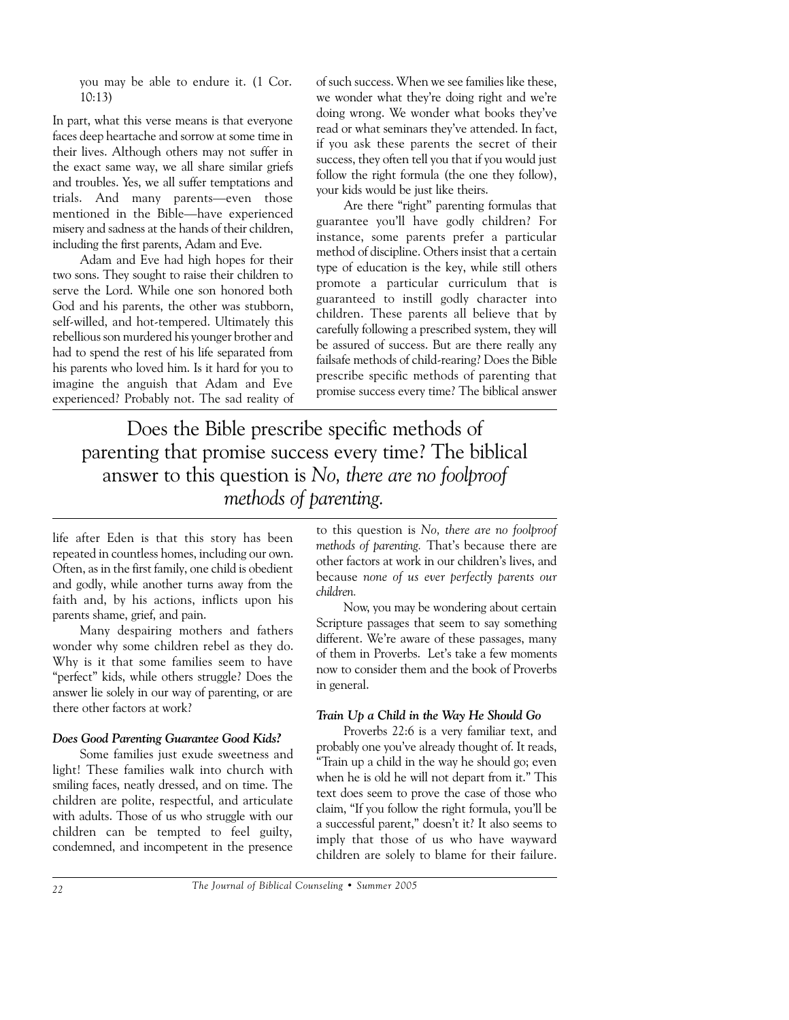you may be able to endure it. (1 Cor. 10:13)

In part, what this verse means is that everyone faces deep heartache and sorrow at some time in their lives. Although others may not suffer in the exact same way, we all share similar griefs and troubles. Yes, we all suffer temptations and trials. And many parents—even those mentioned in the Bible—have experienced misery and sadness at the hands of their children, including the first parents, Adam and Eve.

Adam and Eve had high hopes for their two sons. They sought to raise their children to serve the Lord. While one son honored both God and his parents, the other was stubborn, self-willed, and hot-tempered. Ultimately this rebellious son murdered his younger brother and had to spend the rest of his life separated from his parents who loved him. Is it hard for you to imagine the anguish that Adam and Eve experienced? Probably not. The sad reality of of such success. When we see families like these, we wonder what they're doing right and we're doing wrong. We wonder what books they've read or what seminars they've attended. In fact, if you ask these parents the secret of their success, they often tell you that if you would just follow the right formula (the one they follow), your kids would be just like theirs.

Are there "right" parenting formulas that guarantee you'll have godly children? For instance, some parents prefer a particular method of discipline. Others insist that a certain type of education is the key, while still others promote a particular curriculum that is guaranteed to instill godly character into children. These parents all believe that by carefully following a prescribed system, they will be assured of success. But are there really any failsafe methods of child-rearing? Does the Bible prescribe specific methods of parenting that promise success every time? The biblical answer

Does the Bible prescribe specific methods of parenting that promise success every time? The biblical answer to this question is *No, there are no foolproof methods of parenting.*

life after Eden is that this story has been repeated in countless homes, including our own. Often, as in the first family, one child is obedient and godly, while another turns away from the faith and, by his actions, inflicts upon his parents shame, grief, and pain.

Many despairing mothers and fathers wonder why some children rebel as they do. Why is it that some families seem to have "perfect" kids, while others struggle? Does the answer lie solely in our way of parenting, or are there other factors at work?

## *Does Good Parenting Guarantee Good Kids?*

Some families just exude sweetness and light! These families walk into church with smiling faces, neatly dressed, and on time. The children are polite, respectful, and articulate with adults. Those of us who struggle with our children can be tempted to feel guilty, condemned, and incompetent in the presence

to this question is *No, there are no foolproof methods of parenting.* That's because there are other factors at work in our children's lives, and because *none of us ever perfectly parents our children.* 

Now, you may be wondering about certain Scripture passages that seem to say something different. We're aware of these passages, many of them in Proverbs. Let's take a few moments now to consider them and the book of Proverbs in general.

#### *Train Up a Child in the Way He Should Go*

Proverbs 22:6 is a very familiar text, and probably one you've already thought of. It reads, "Train up a child in the way he should go; even when he is old he will not depart from it." This text does seem to prove the case of those who claim, "If you follow the right formula, you'll be a successful parent," doesn't it? It also seems to imply that those of us who have wayward children are solely to blame for their failure.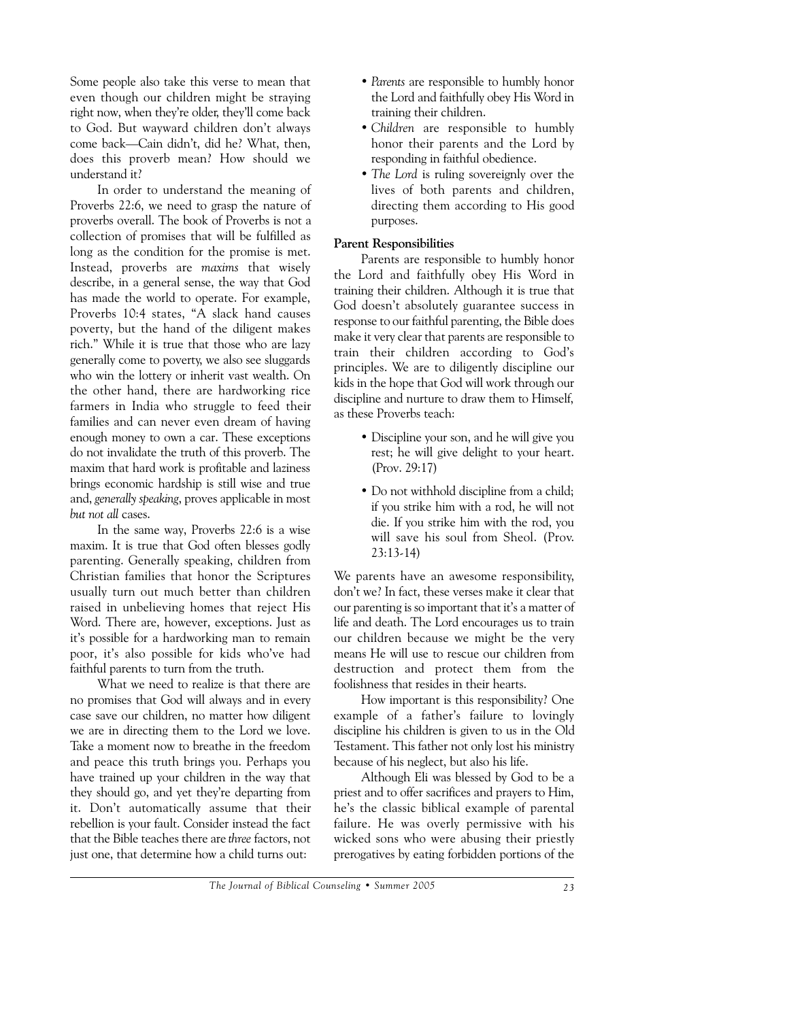Some people also take this verse to mean that even though our children might be straying right now, when they're older, they'll come back to God. But wayward children don't always come back—Cain didn't, did he? What, then, does this proverb mean? How should we understand it?

In order to understand the meaning of Proverbs 22:6, we need to grasp the nature of proverbs overall. The book of Proverbs is not a collection of promises that will be fulfilled as long as the condition for the promise is met. Instead, proverbs are *maxims* that wisely describe, in a general sense, the way that God has made the world to operate. For example, Proverbs 10:4 states, "A slack hand causes poverty, but the hand of the diligent makes rich." While it is true that those who are lazy generally come to poverty, we also see sluggards who win the lottery or inherit vast wealth. On the other hand, there are hardworking rice farmers in India who struggle to feed their families and can never even dream of having enough money to own a car. These exceptions do not invalidate the truth of this proverb. The maxim that hard work is profitable and laziness brings economic hardship is still wise and true and, *generally speaking*, proves applicable in most *but not all* cases.

In the same way, Proverbs 22:6 is a wise maxim. It is true that God often blesses godly parenting. Generally speaking, children from Christian families that honor the Scriptures usually turn out much better than children raised in unbelieving homes that reject His Word. There are, however, exceptions. Just as it's possible for a hardworking man to remain poor, it's also possible for kids who've had faithful parents to turn from the truth.

What we need to realize is that there are no promises that God will always and in every case save our children, no matter how diligent we are in directing them to the Lord we love. Take a moment now to breathe in the freedom and peace this truth brings you. Perhaps you have trained up your children in the way that they should go, and yet they're departing from it. Don't automatically assume that their rebellion is your fault. Consider instead the fact that the Bible teaches there are *three* factors, not just one, that determine how a child turns out:

- *Parents* are responsible to humbly honor the Lord and faithfully obey His Word in training their children.
- *Children* are responsible to humbly honor their parents and the Lord by responding in faithful obedience.
- *The Lord* is ruling sovereignly over the lives of both parents and children, directing them according to His good purposes.

## **Parent Responsibilities**

Parents are responsible to humbly honor the Lord and faithfully obey His Word in training their children. Although it is true that God doesn't absolutely guarantee success in response to our faithful parenting, the Bible does make it very clear that parents are responsible to train their children according to God's principles. We are to diligently discipline our kids in the hope that God will work through our discipline and nurture to draw them to Himself, as these Proverbs teach:

- Discipline your son, and he will give you rest; he will give delight to your heart. (Prov. 29:17)
- Do not withhold discipline from a child; if you strike him with a rod, he will not die. If you strike him with the rod, you will save his soul from Sheol. (Prov. 23:13-14)

We parents have an awesome responsibility, don't we? In fact, these verses make it clear that our parenting is so important that it's a matter of life and death. The Lord encourages us to train our children because we might be the very means He will use to rescue our children from destruction and protect them from the foolishness that resides in their hearts.

How important is this responsibility? One example of a father's failure to lovingly discipline his children is given to us in the Old Testament. This father not only lost his ministry because of his neglect, but also his life.

Although Eli was blessed by God to be a priest and to offer sacrifices and prayers to Him, he's the classic biblical example of parental failure. He was overly permissive with his wicked sons who were abusing their priestly prerogatives by eating forbidden portions of the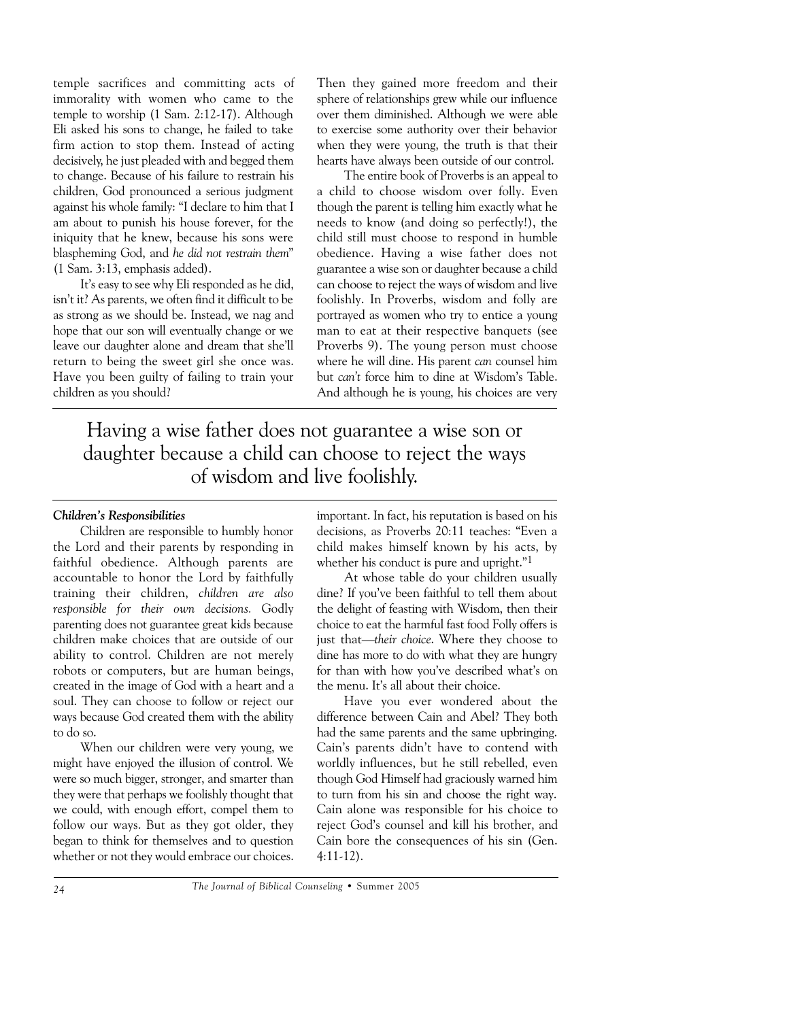temple sacrifices and committing acts of immorality with women who came to the temple to worship (1 Sam. 2:12-17). Although Eli asked his sons to change, he failed to take firm action to stop them. Instead of acting decisively, he just pleaded with and begged them to change. Because of his failure to restrain his children, God pronounced a serious judgment against his whole family: "I declare to him that I am about to punish his house forever, for the iniquity that he knew, because his sons were blaspheming God, and *he did not restrain them*" (1 Sam. 3:13, emphasis added).

It's easy to see why Eli responded as he did, isn't it? As parents, we often find it difficult to be as strong as we should be. Instead, we nag and hope that our son will eventually change or we leave our daughter alone and dream that she'll return to being the sweet girl she once was. Have you been guilty of failing to train your children as you should?

Then they gained more freedom and their sphere of relationships grew while our influence over them diminished. Although we were able to exercise some authority over their behavior when they were young, the truth is that their hearts have always been outside of our control.

The entire book of Proverbs is an appeal to a child to choose wisdom over folly. Even though the parent is telling him exactly what he needs to know (and doing so perfectly!), the child still must choose to respond in humble obedience. Having a wise father does not guarantee a wise son or daughter because a child can choose to reject the ways of wisdom and live foolishly. In Proverbs, wisdom and folly are portrayed as women who try to entice a young man to eat at their respective banquets (see Proverbs 9). The young person must choose where he will dine. His parent *can* counsel him but *can't* force him to dine at Wisdom's Table. And although he is young, his choices are very

Having a wise father does not guarantee a wise son or daughter because a child can choose to reject the ways of wisdom and live foolishly.

#### *Children's Responsibilities*

Children are responsible to humbly honor the Lord and their parents by responding in faithful obedience. Although parents are accountable to honor the Lord by faithfully training their children, *children are also responsible for their own decisions.* Godly parenting does not guarantee great kids because children make choices that are outside of our ability to control. Children are not merely robots or computers, but are human beings, created in the image of God with a heart and a soul. They can choose to follow or reject our ways because God created them with the ability to do so.

When our children were very young, we might have enjoyed the illusion of control. We were so much bigger, stronger, and smarter than they were that perhaps we foolishly thought that we could, with enough effort, compel them to follow our ways. But as they got older, they began to think for themselves and to question whether or not they would embrace our choices. important. In fact, his reputation is based on his decisions, as Proverbs 20:11 teaches: "Even a child makes himself known by his acts, by whether his conduct is pure and upright."<sup>1</sup>

At whose table do your children usually dine? If you've been faithful to tell them about the delight of feasting with Wisdom, then their choice to eat the harmful fast food Folly offers is just that—*their choice*. Where they choose to dine has more to do with what they are hungry for than with how you've described what's on the menu. It's all about their choice.

Have you ever wondered about the difference between Cain and Abel? They both had the same parents and the same upbringing. Cain's parents didn't have to contend with worldly influences, but he still rebelled, even though God Himself had graciously warned him to turn from his sin and choose the right way. Cain alone was responsible for his choice to reject God's counsel and kill his brother, and Cain bore the consequences of his sin (Gen. 4:11-12).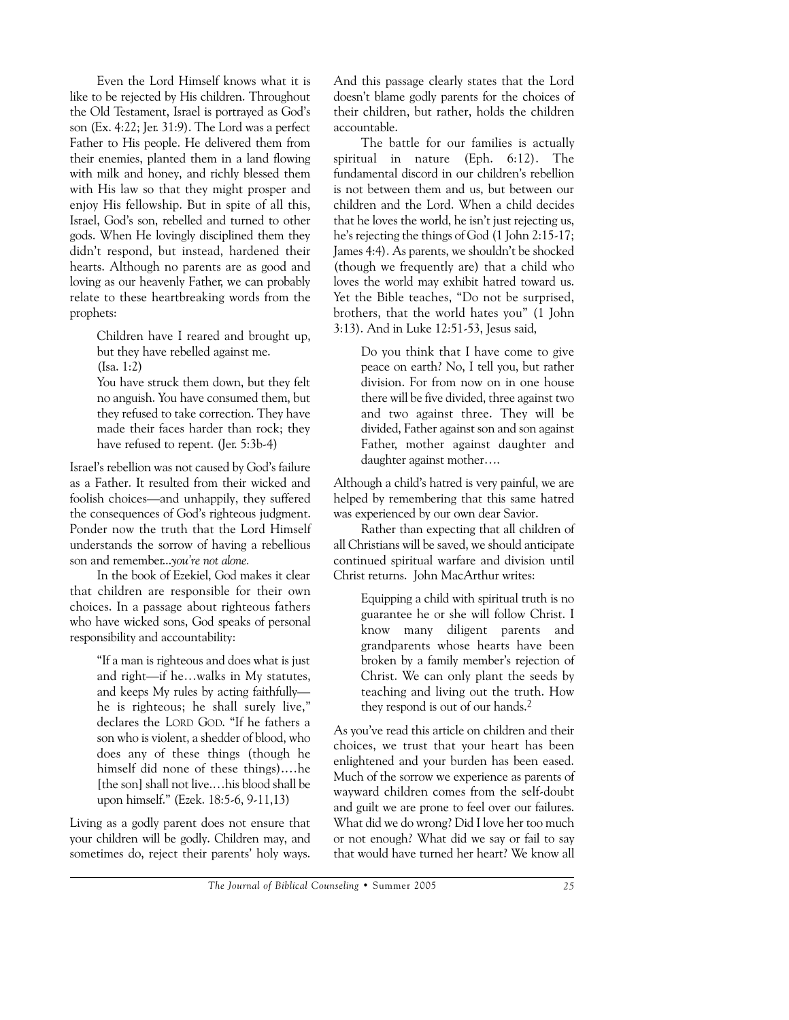Even the Lord Himself knows what it is like to be rejected by His children. Throughout the Old Testament, Israel is portrayed as God's son (Ex. 4:22; Jer. 31:9). The Lord was a perfect Father to His people. He delivered them from their enemies, planted them in a land flowing with milk and honey, and richly blessed them with His law so that they might prosper and enjoy His fellowship. But in spite of all this, Israel, God's son, rebelled and turned to other gods. When He lovingly disciplined them they didn't respond, but instead, hardened their hearts. Although no parents are as good and loving as our heavenly Father, we can probably relate to these heartbreaking words from the prophets:

> Children have I reared and brought up, but they have rebelled against me.

(Isa. 1:2)

You have struck them down, but they felt no anguish. You have consumed them, but they refused to take correction. They have made their faces harder than rock; they have refused to repent. (Jer. 5:3b-4)

Israel's rebellion was not caused by God's failure as a Father. It resulted from their wicked and foolish choices—and unhappily, they suffered the consequences of God's righteous judgment. Ponder now the truth that the Lord Himself understands the sorrow of having a rebellious son and remember...*you're not alone.*

In the book of Ezekiel, God makes it clear that children are responsible for their own choices. In a passage about righteous fathers who have wicked sons, God speaks of personal responsibility and accountability:

> "If a man is righteous and does what is just and right—if he…walks in My statutes, and keeps My rules by acting faithfully he is righteous; he shall surely live," declares the LORD GOD. "If he fathers a son who is violent, a shedder of blood, who does any of these things (though he himself did none of these things).…he [the son] shall not live.…his blood shall be upon himself." (Ezek. 18:5-6, 9-11,13)

Living as a godly parent does not ensure that your children will be godly. Children may, and sometimes do, reject their parents' holy ways. And this passage clearly states that the Lord doesn't blame godly parents for the choices of their children, but rather, holds the children accountable.

The battle for our families is actually spiritual in nature (Eph. 6:12). The fundamental discord in our children's rebellion is not between them and us, but between our children and the Lord. When a child decides that he loves the world, he isn't just rejecting us, he's rejecting the things of God (1 John 2:15-17; James 4:4). As parents, we shouldn't be shocked (though we frequently are) that a child who loves the world may exhibit hatred toward us. Yet the Bible teaches, "Do not be surprised, brothers, that the world hates you" (1 John 3:13). And in Luke 12:51-53, Jesus said,

> Do you think that I have come to give peace on earth? No, I tell you, but rather division. For from now on in one house there will be five divided, three against two and two against three. They will be divided, Father against son and son against Father, mother against daughter and daughter against mother….

Although a child's hatred is very painful, we are helped by remembering that this same hatred was experienced by our own dear Savior.

Rather than expecting that all children of all Christians will be saved, we should anticipate continued spiritual warfare and division until Christ returns. John MacArthur writes:

> Equipping a child with spiritual truth is no guarantee he or she will follow Christ. I know many diligent parents and grandparents whose hearts have been broken by a family member's rejection of Christ. We can only plant the seeds by teaching and living out the truth. How they respond is out of our hands.<sup>2</sup>

As you've read this article on children and their choices, we trust that your heart has been enlightened and your burden has been eased. Much of the sorrow we experience as parents of wayward children comes from the self-doubt and guilt we are prone to feel over our failures. What did we do wrong? Did I love her too much or not enough? What did we say or fail to say that would have turned her heart? We know all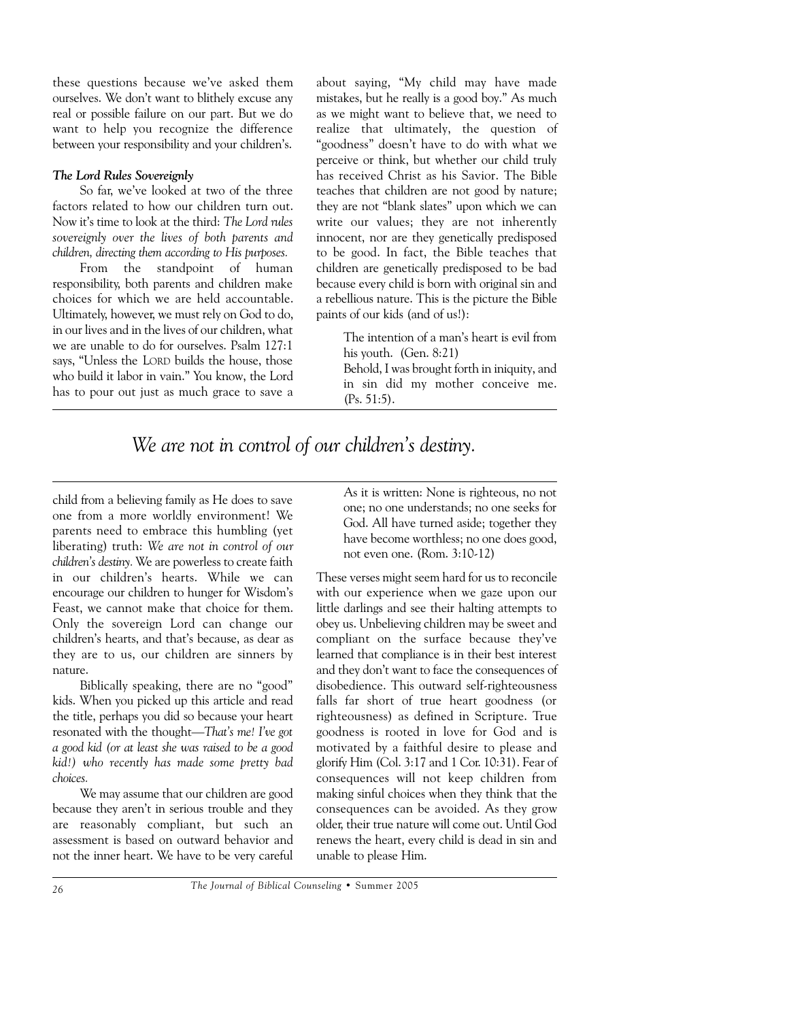these questions because we've asked them ourselves. We don't want to blithely excuse any real or possible failure on our part. But we do want to help you recognize the difference between your responsibility and your children's.

### *The Lord Rules Sovereignly*

So far, we've looked at two of the three factors related to how our children turn out. Now it's time to look at the third: *The Lord rules sovereignly over the lives of both parents and children, directing them according to His purposes.* 

From the standpoint of human responsibility, both parents and children make choices for which we are held accountable. Ultimately, however, we must rely on God to do, in our lives and in the lives of our children, what we are unable to do for ourselves. Psalm 127:1 says, "Unless the LORD builds the house, those who build it labor in vain." You know, the Lord has to pour out just as much grace to save a

about saying, "My child may have made mistakes, but he really is a good boy." As much as we might want to believe that, we need to realize that ultimately, the question of "goodness" doesn't have to do with what we perceive or think, but whether our child truly has received Christ as his Savior. The Bible teaches that children are not good by nature; they are not "blank slates" upon which we can write our values; they are not inherently innocent, nor are they genetically predisposed to be good. In fact, the Bible teaches that children are genetically predisposed to be bad because every child is born with original sin and a rebellious nature. This is the picture the Bible paints of our kids (and of us!):

> The intention of a man's heart is evil from his youth. (Gen. 8:21) Behold, I was brought forth in iniquity, and in sin did my mother conceive me. (Ps. 51:5).

*We are not in control of our children's destiny.*

child from a believing family as He does to save one from a more worldly environment! We parents need to embrace this humbling (yet liberating) truth: *We are not in control of our children's destiny.* We are powerless to create faith in our children's hearts. While we can encourage our children to hunger for Wisdom's Feast, we cannot make that choice for them. Only the sovereign Lord can change our children's hearts, and that's because, as dear as they are to us, our children are sinners by nature.

Biblically speaking, there are no "good" kids. When you picked up this article and read the title, perhaps you did so because your heart resonated with the thought—*That's me! I've got a good kid (or at least she was raised to be a good kid!) who recently has made some pretty bad choices.* 

We may assume that our children are good because they aren't in serious trouble and they are reasonably compliant, but such an assessment is based on outward behavior and not the inner heart. We have to be very careful As it is written: None is righteous, no not one; no one understands; no one seeks for God. All have turned aside; together they have become worthless; no one does good, not even one. (Rom. 3:10-12)

These verses might seem hard for us to reconcile with our experience when we gaze upon our little darlings and see their halting attempts to obey us. Unbelieving children may be sweet and compliant on the surface because they've learned that compliance is in their best interest and they don't want to face the consequences of disobedience. This outward self-righteousness falls far short of true heart goodness (or righteousness) as defined in Scripture. True goodness is rooted in love for God and is motivated by a faithful desire to please and glorify Him (Col. 3:17 and 1 Cor. 10:31). Fear of consequences will not keep children from making sinful choices when they think that the consequences can be avoided. As they grow older, their true nature will come out. Until God renews the heart, every child is dead in sin and unable to please Him.